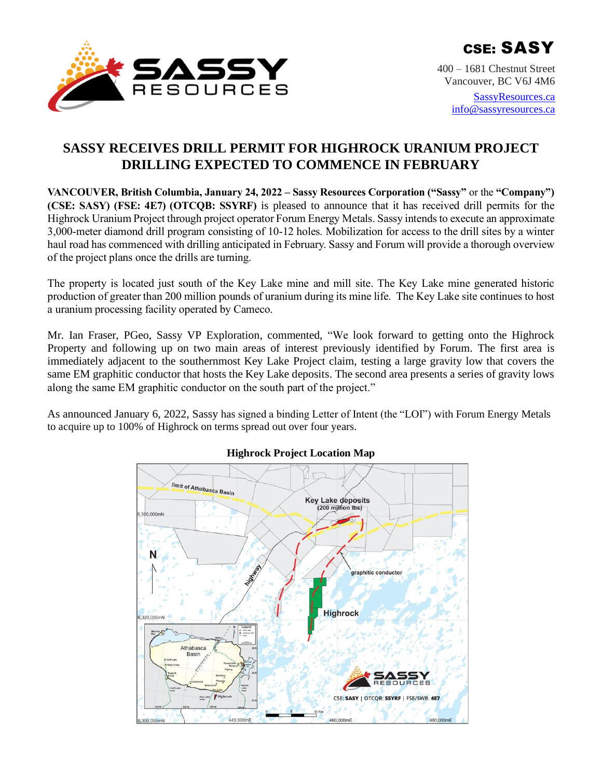

400 – 1681 Chestnut Street Vancouver, BC V6J 4M6

> [SassyResources.ca](http://www.sassyresources.ca/) [info@sassyresources.ca](mailto:info@sassyresources.ca)

# **SASSY RECEIVES DRILL PERMIT FOR HIGHROCK URANIUM PROJECT DRILLING EXPECTED TO COMMENCE IN FEBRUARY**

**VANCOUVER, British Columbia, January 24, 2022 – Sassy Resources Corporation ("Sassy"** or the **"Company") (CSE: SASY) (FSE: 4E7) (OTCQB: SSYRF)** is pleased to announce that it has received drill permits for the Highrock Uranium Project through project operator Forum Energy Metals. Sassy intends to execute an approximate 3,000-meter diamond drill program consisting of 10-12 holes. Mobilization for access to the drill sites by a winter haul road has commenced with drilling anticipated in February. Sassy and Forum will provide a thorough overview of the project plans once the drills are turning.

The property is located just south of the Key Lake mine and mill site. The Key Lake mine generated historic production of greater than 200 million pounds of uranium during its mine life. The Key Lake site continues to host a uranium processing facility operated by Cameco.

Mr. Ian Fraser, PGeo, Sassy VP Exploration, commented, "We look forward to getting onto the Highrock Property and following up on two main areas of interest previously identified by Forum. The first area is immediately adjacent to the southernmost Key Lake Project claim, testing a large gravity low that covers the same EM graphitic conductor that hosts the Key Lake deposits. The second area presents a series of gravity lows along the same EM graphitic conductor on the south part of the project."

As announced January 6, 2022, Sassy has signed a binding Letter of Intent (the "LOI") with Forum Energy Metals to acquire up to 100% of Highrock on terms spread out over four years.



# **Highrock Project Location Map**